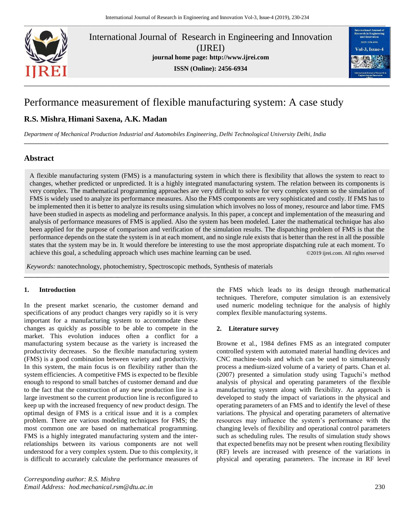

International Journal of Research in Engineering and Innovation (IJREI) **journal home page: [http://www.ijrei.com](http://www.ijrei.com/)**

**ISSN (Online): 2456-6934**



# Performance measurement of flexible manufacturing system: A case study

## **R.S. Mishra, Himani Saxena, A.K. Madan**

*Department of Mechanical Production Industrial and Automobiles Engineering, Delhi Technological University Delhi, India*

## **Abstract**

A flexible manufacturing system (FMS) is a manufacturing system in which there is flexibility that allows the system to react to changes, whether predicted or unpredicted. It is a highly integrated manufacturing system. The relation between its components is very complex. The mathematical programming approaches are very difficult to solve for very complex system so the simulation of FMS is widely used to analyze its performance measures. Also the FMS components are very sophisticated and costly. If FMS has to be implemented then it is better to analyze its results using simulation which involves no loss of money, resource and labor time. FMS have been studied in aspects as modeling and performance analysis. In this paper, a concept and implementation of the measuring and analysis of performance measures of FMS is applied. Also the system has been modeled. Later the mathematical technique has also been applied for the purpose of comparison and verification of the simulation results. The dispatching problem of FMS is that the performance depends on the state the system is in at each moment, and no single rule exists that is better than the rest in all the possible states that the system may be in. It would therefore be interesting to use the most appropriate dispatching rule at each moment. To achieve this goal, a scheduling approach which uses machine learning can be used. ©2019 ijrei.com. All rights reserved

**\_\_\_\_\_\_\_\_\_\_\_\_\_\_\_\_\_\_\_\_\_\_\_\_\_\_\_\_\_\_\_\_\_\_\_\_\_\_\_\_\_\_\_\_\_\_\_\_\_\_\_\_\_\_\_\_\_\_\_\_\_\_\_\_\_\_\_\_\_\_\_\_\_\_\_\_\_\_\_\_\_\_\_\_\_\_\_\_\_\_\_\_\_\_\_\_\_\_\_\_\_\_\_\_\_\_\_\_\_**

**\_\_\_\_\_\_\_\_\_\_\_\_\_\_\_\_\_\_\_\_\_\_\_\_\_\_\_\_\_\_\_\_\_\_\_\_\_\_\_\_\_\_\_\_\_\_\_\_\_\_\_\_\_\_\_\_\_\_\_\_\_\_\_\_\_\_\_\_\_\_\_\_\_\_\_\_\_\_\_\_\_\_\_\_\_\_\_\_\_\_\_\_\_\_\_\_\_\_\_\_\_\_\_\_\_\_\_\_\_\_\_\_\_\_\_\_\_\_\_\_\_**

*Keywords:* nanotechnology, photochemistry, Spectroscopic methods, Synthesis of materials

#### **1. Introduction**

In the present market scenario, the customer demand and specifications of any product changes very rapidly so it is very complex flexible manufacturing systems. important for a manufacturing system to accommodate these changes as quickly as possible to be able to compete in the market. This evolution induces often a conflict for a manufacturing system because as the variety is increased the productivity decreases. So the flexible manufacturing system (FMS) is a good combination between variety and productivity. In this system, the main focus is on flexibility rather than the system efficiencies. A competitive FMS is expected to be flexible enough to respond to small batches of customer demand and due to the fact that the construction of any new production line is a large investment so the current production line is reconfigured to keep up with the increased frequency of new product design. The optimal design of FMS is a critical issue and it is a complex problem. There are various modeling techniques for FMS; the most common one are based on mathematical programming. FMS is a highly integrated manufacturing system and the interrelationships between its various components are not well understood for a very complex system. Due to this complexity, it is difficult to accurately calculate the performance measures of

*Corresponding author: R.S. Mishra Email Address: hod.mechanical.rsm@dtu.ac.in* 230

the FMS which leads to its design through mathematical techniques. Therefore, computer simulation is an extensively used numeric modeling technique for the analysis of highly complex flexible manufacturing systems.

#### **2. Literature survey**

Browne et al., 1984 defines FMS as an integrated computer controlled system with automated material handling devices and CNC machine-tools and which can be used to simultaneously process a medium-sized volume of a variety of parts. Chan et al. (2007) presented a simulation study using Taguchi's method analysis of physical and operating parameters of the flexible manufacturing system along with flexibility. An approach is developed to study the impact of variations in the physical and operating parameters of an FMS and to identify the level of these variations. The physical and operating parameters of alternative resources may influence the system's performance with the changing levels of flexibility and operational control parameters such as scheduling rules. The results of simulation study shows that expected benefits may not be present when routing flexibility (RF) levels are increased with presence of the variations in physical and operating parameters. The increase in RF level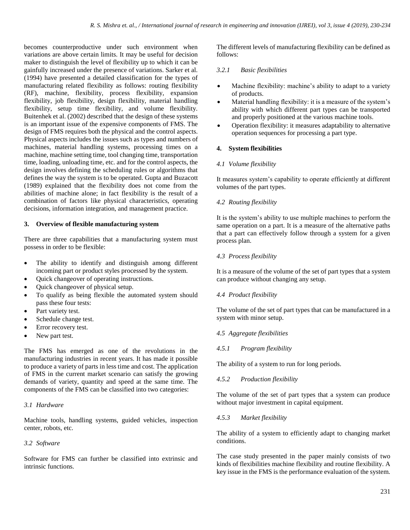becomes counterproductive under such environment when variations are above certain limits. It may be useful for decision maker to distinguish the level of flexibility up to which it can be gainfully increased under the presence of variations. Sarker et al. (1994) have presented a detailed classification for the types of manufacturing related flexibility as follows: routing flexibility (RF), machine, flexibility, process flexibility, expansion flexibility, job flexibility, design flexibility, material handling flexibility, setup time flexibility, and volume flexibility. Buitenhek et al. (2002) described that the design of these systems is an important issue of the expensive components of FMS. The design of FMS requires both the physical and the control aspects. Physical aspects includes the issues such as types and numbers of machines, material handling systems, processing times on a machine, machine setting time, tool changing time, transportation time, loading, unloading time, etc. and for the control aspects, the design involves defining the scheduling rules or algorithms that defines the way the system is to be operated. Gupta and Buzacott (1989) explained that the flexibility does not come from the abilities of machine alone; in fact flexibility is the result of a combination of factors like physical characteristics, operating decisions, information integration, and management practice.

#### **3. Overview of flexible manufacturing system**

There are three capabilities that a manufacturing system must possess in order to be flexible:

- The ability to identify and distinguish among different incoming part or product styles processed by the system.
- Quick changeover of operating instructions.
- Quick changeover of physical setup.
- To qualify as being flexible the automated system should pass these four tests:
- Part variety test.
- Schedule change test.
- Error recovery test.
- New part test.

The FMS has emerged as one of the revolutions in the manufacturing industries in recent years. It has made it possible to produce a variety of parts in less time and cost. The application of FMS in the current market scenario can satisfy the growing demands of variety, quantity and speed at the same time. The components of the FMS can be classified into two categories:

## *3.1 Hardware*

Machine tools, handling systems, guided vehicles, inspection center, robots, etc.

## *3.2 Software*

Software for FMS can further be classified into extrinsic and intrinsic functions.

The different levels of manufacturing flexibility can be defined as follows:

## *3.2.1 Basic flexibilities*

- Machine flexibility: machine's ability to adapt to a variety of products.
- Material handling flexibility: it is a measure of the system's ability with which different part types can be transported and properly positioned at the various machine tools.
- Operation flexibility: it measures adaptability to alternative operation sequences for processing a part type.

## **4. System flexibilities**

#### *4.1 Volume flexibility*

It measures system's capability to operate efficiently at different volumes of the part types.

## *4.2 Routing flexibility*

It is the system's ability to use multiple machines to perform the same operation on a part. It is a measure of the alternative paths that a part can effectively follow through a system for a given process plan.

## *4.3 Process flexibility*

It is a measure of the volume of the set of part types that a system can produce without changing any setup.

## *4.4 Product flexibility*

The volume of the set of part types that can be manufactured in a system with minor setup.

## *4.5 Aggregate flexibilities*

## *4.5.1 Program flexibility*

The ability of a system to run for long periods.

## *4.5.2 Production flexibility*

The volume of the set of part types that a system can produce without major investment in capital equipment.

## *4.5.3 Market flexibility*

The ability of a system to efficiently adapt to changing market conditions.

The case study presented in the paper mainly consists of two kinds of flexibilities machine flexibility and routine flexibility. A key issue in the FMS is the performance evaluation of the system.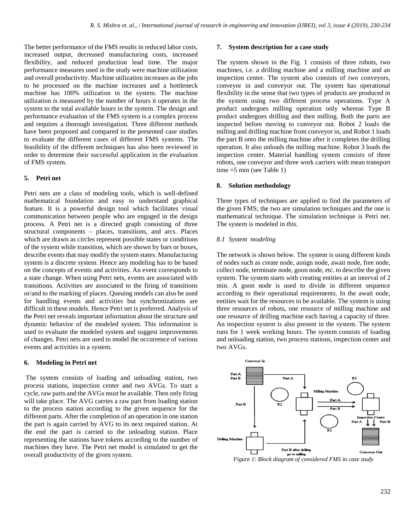The better performance of the FMS results in reduced labor costs, increased output, decreased manufacturing costs, increased flexibility, and reduced production lead time. The major performance measures used in the study were machine utilization and overall productivity. Machine utilization increases as the jobs to be processed on the machine increases and a bottleneck machine has 100% utilization in the system. The machine utilization is measured by the number of hours it operates in the system to the total available hours in the system. The design and performance evaluation of the FMS system is a complex process and requires a thorough investigation. Three different methods have been proposed and compared in the presented case studies to evaluate the different cases of different FMS systems. The feasibility of the different techniques has also been reviewed in order to determine their successful application in the evaluation of FMS system.

#### **5. Petri net**

Petri nets are a class of modeling tools, which is well-defined mathematical foundation and easy to understand graphical feature. It is a powerful design tool which facilitates visual communication between people who are engaged in the design process. A Petri net is a directed graph consisting of three structural components – places, transitions, and arcs. Places which are drawn as circles represent possible states or conditions of the system while transition, which are shown by bars or boxes, describe events that may modify the system states. Manufacturing system is a discrete system. Hence any modeling has to be based on the concepts of events and activities. An event corresponds to a state change. When using Petri nets, events are associated with transitions. Activities are associated to the firing of transitions or/and to the marking of places. Queuing models can also be used for handling events and activities but synchronizations are difficult in these models. Hence Petri net is preferred. Analysis of the Petri net reveals important information about the structure and dynamic behavior of the modeled system. This information is used to evaluate the modeled system and suggest improvements of changes. Petri nets are used to model the occurrence of various events and activities in a system.

#### **6. Modeling in Petri net**

The system consists of loading and unloading station, two process stations, inspection center and two AVGs. To start a cycle, raw parts and the AVGs must be available. Then only firing will take place. The AVG carries a raw part from loading station to the process station according to the given sequence for the different parts. After the completion of an operation in one station the part is again carried by AVG to its next required station. At the end the part is carried to the unloading station. Place representing the stations have tokens according to the number of machines they have. The Petri net model is simulated to get the overall productivity of the given system.

#### **7. System description for a case study**

The system shown in the Fig. 1 consists of three robots, two machines, i.e. a drilling machine and a milling machine and an inspection center. The system also consists of two conveyors, conveyor in and conveyor out. The system has operational flexibility in the sense that two types of products are produced in the system using two different process operations. Type A product undergoes milling operation only whereas Type B product undergoes drilling and then milling. Both the parts are inspected before moving to conveyor out. Robot 2 loads the milling and drilling machine from conveyor in, and Robot 1 loads the part B onto the milling machine after it completes the drilling operation. It also unloads the milling machine. Robot 3 loads the inspection center. Material handling system consists of three robots, one conveyor and three work carriers with mean transport time  $=5$  min (see Table 1)

#### **8. Solution methodology**

Three types of techniques are applied to find the parameters of the given FMS; the two are simulation techniques and the one is mathematical technique. The simulation technique is Petri net. The system is modeled in this.

#### *8.1 System modeling*

The network is shown below. The system is using different kinds of nodes such as create node, assign node, await node, free node, collect node, terminate node, goon node, etc. to describe the given system. The system starts with creating entities at an interval of 2 min. A goon node is used to divide in different sequence according to their operational requirements. In the await node, entities wait for the resources to be available. The system is using three resources of robots, one resource of milling machine and one resource of drilling machine each having a capacity of three. An inspection system is also present in the system. The system runs for 1 week working hours. The system consists of loading and unloading station, two process stations, inspection center and two AVGs.

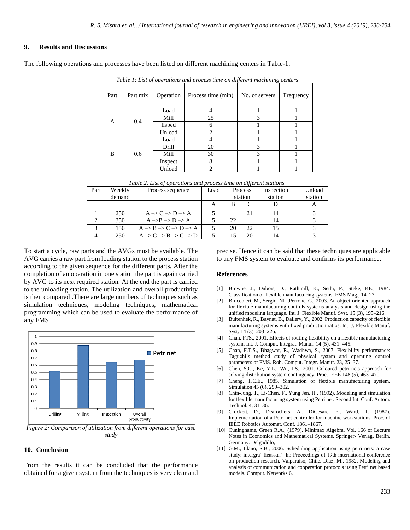#### **9. Results and Discussions**

The following operations and processes have been listed on different machining centers in Table-1.

| Part | Part mix | Operation | Process time (min) | No. of servers | Frequency |
|------|----------|-----------|--------------------|----------------|-----------|
| A    | 0.4      | Load      | 4                  |                |           |
|      |          | Mill      | 25                 | 3              |           |
|      |          | lisped    | 6                  |                |           |
|      |          | Unload    | $\overline{c}$     |                |           |
| B    | 0.6      | Load      | 4                  |                |           |
|      |          | Drill     | 20                 | 3              |           |
|      |          | Mill      | 30                 | 3              |           |
|      |          | Inspect   | 8                  |                |           |
|      |          | Unload    | $\overline{c}$     |                |           |

*Table 1: List of operations and process time on different machining centers*

*Table 2. List of operations and process time on different stations.*

| Part | Weekly | Process sequence                                            | Load | Process |    | Inspection | Unload  |
|------|--------|-------------------------------------------------------------|------|---------|----|------------|---------|
|      | demand |                                                             |      | station |    | station    | station |
|      |        |                                                             |      | B       |    |            |         |
|      | 250    | $A \rightarrow C \rightarrow D \rightarrow A$               |      |         | 21 | 14         |         |
|      | 350    | $A \rightarrow B \rightarrow D \rightarrow A$               |      | 22      |    | 14         |         |
|      | 150    | $A \rightarrow B \rightarrow C \rightarrow D \rightarrow A$ |      | 20      | 22 |            |         |
|      | 250    | $A \rightarrow C \rightarrow B \rightarrow C \rightarrow D$ |      | 15      | 20 |            |         |

To start a cycle, raw parts and the AVGs must be available. The AVG carries a raw part from loading station to the process station according to the given sequence for the different parts. After the completion of an operation in one station the part is again carried by AVG to its next required station. At the end the part is carried to the unloading station. The utilization and overall productivity is then compared .There are large numbers of techniques such as simulation techniques, modeling techniques, mathematical programming which can be used to evaluate the performance of any FMS



*Figure 2: Comparison of utilization from different operations for case study*

#### **10. Conclusion**

From the results it can be concluded that the performance obtained for a given system from the techniques is very clear and

precise. Hence it can be said that these techniques are applicable to any FMS system to evaluate and confirms its performance.

#### **References**

- [1] Browne, J., Dubois, D., Rathmill, K., Sethi, P., Steke, KE., 1984. Classification of flexible manufacturing systems. FMS Mag., 14–27.
- [2] Bruccoleri, M., Sergio, NL.,Perrone, G., 2003. An object-oriented approach for flexible manufacturing controls systems analysis and design using the unified modeling language. Int. J. Flexible Manuf. Syst. 15 (3), 195–216.
- [3] Buitenhek, R., Baynat, B., Dallery, Y., 2002. Production capacity of flexible manufacturing systems with fixed production ratios. Int. J. Flexible Manuf. Syst. 14 (3), 203–226.
- [4] Chan, FTS., 2001. Effects of routing flexibility on a flexible manufacturing system. Int. J. Comput. Integrat. Manuf. 14 (5), 431–445.
- [5] Chan, F.T.S., Bhagwat, R., Wadhwa, S., 2007. Flexibility performance: Taguchi's method study of physical system and operating control parameters of FMS. Rob. Comput. Integr. Manuf. 23, 25–37.
- [6] Chen, S.C., Ke, Y.L., Wu, J.S., 2001. Coloured petri-nets approach for solving distribution system contingency. Proc. IEEE 148 (5), 463–470.
- [7] Cheng, T.C.E., 1985. Simulation of flexible manufacturing system. Simulation 45 (6), 299–302.
- [8] Chin-Jung, T., Li-Chen, F., Yung Jen, H., (1992). Modeling and simulation for flexible manufacturing system using Petri net. Second Int. Conf. Autom. Technol. 4, 31–36.
- [9] Crockett, D., Dearochers, A., DiCesare, F., Ward, T. (1987). Implementation of a Petri net controller for machine workstations. Proc. of IEEE Robotics Automat. Conf. 1861–1867.
- [10] Cuninghame, Green R.A., (1979). Minimax Algebra, Vol. 166 of Lecture Notes in Economics and Mathematical Systems. Springer- Verlag, Berlin, Germany. Delgadillo,
- [11] G.M., Llano, S.B., 2006. Scheduling application using petri nets: a case study: intergra´ ficass.a.'. In: Proceedings of 19th international conference on production research, Valparaiso, Chile. Diaz, M., 1982. Modeling and analysis of communication and cooperation protocols using Petri net based models. Comput. Networks 6.